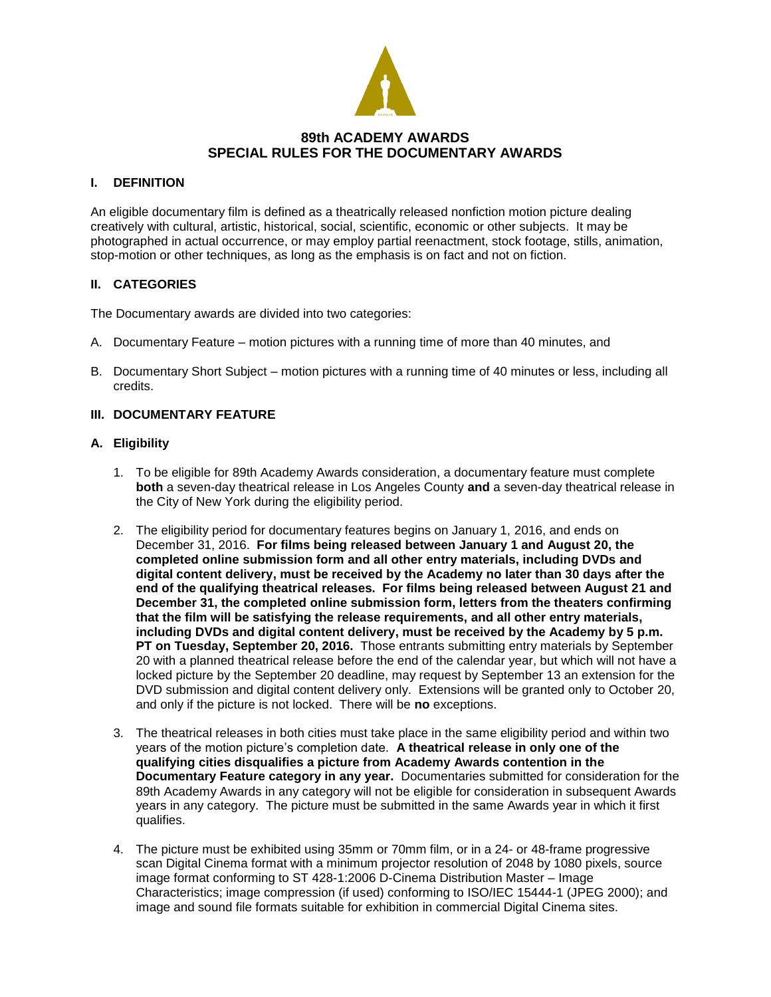

## **89th ACADEMY AWARDS SPECIAL RULES FOR THE DOCUMENTARY AWARDS**

### **I. DEFINITION**

An eligible documentary film is defined as a theatrically released nonfiction motion picture dealing creatively with cultural, artistic, historical, social, scientific, economic or other subjects. It may be photographed in actual occurrence, or may employ partial reenactment, stock footage, stills, animation, stop-motion or other techniques, as long as the emphasis is on fact and not on fiction.

## **II. CATEGORIES**

The Documentary awards are divided into two categories:

- A. Documentary Feature motion pictures with a running time of more than 40 minutes, and
- B. Documentary Short Subject motion pictures with a running time of 40 minutes or less, including all credits.

## **III. DOCUMENTARY FEATURE**

### **A. Eligibility**

- 1. To be eligible for 89th Academy Awards consideration, a documentary feature must complete **both** a seven-day theatrical release in Los Angeles County **and** a seven-day theatrical release in the City of New York during the eligibility period.
- 2. The eligibility period for documentary features begins on January 1, 2016, and ends on December 31, 2016. **For films being released between January 1 and August 20, the completed online submission form and all other entry materials, including DVDs and digital content delivery, must be received by the Academy no later than 30 days after the end of the qualifying theatrical releases. For films being released between August 21 and December 31, the completed online submission form, letters from the theaters confirming that the film will be satisfying the release requirements, and all other entry materials, including DVDs and digital content delivery, must be received by the Academy by 5 p.m. PT on Tuesday, September 20, 2016.** Those entrants submitting entry materials by September 20 with a planned theatrical release before the end of the calendar year, but which will not have a locked picture by the September 20 deadline, may request by September 13 an extension for the DVD submission and digital content delivery only. Extensions will be granted only to October 20, and only if the picture is not locked. There will be **no** exceptions.
- 3. The theatrical releases in both cities must take place in the same eligibility period and within two years of the motion picture's completion date. **A theatrical release in only one of the qualifying cities disqualifies a picture from Academy Awards contention in the Documentary Feature category in any year.** Documentaries submitted for consideration for the 89th Academy Awards in any category will not be eligible for consideration in subsequent Awards years in any category. The picture must be submitted in the same Awards year in which it first qualifies.
- 4. The picture must be exhibited using 35mm or 70mm film, or in a 24- or 48-frame progressive scan Digital Cinema format with a minimum projector resolution of 2048 by 1080 pixels, source image format conforming to ST 428-1:2006 D-Cinema Distribution Master – Image Characteristics; image compression (if used) conforming to ISO/IEC 15444-1 (JPEG 2000); and image and sound file formats suitable for exhibition in commercial Digital Cinema sites.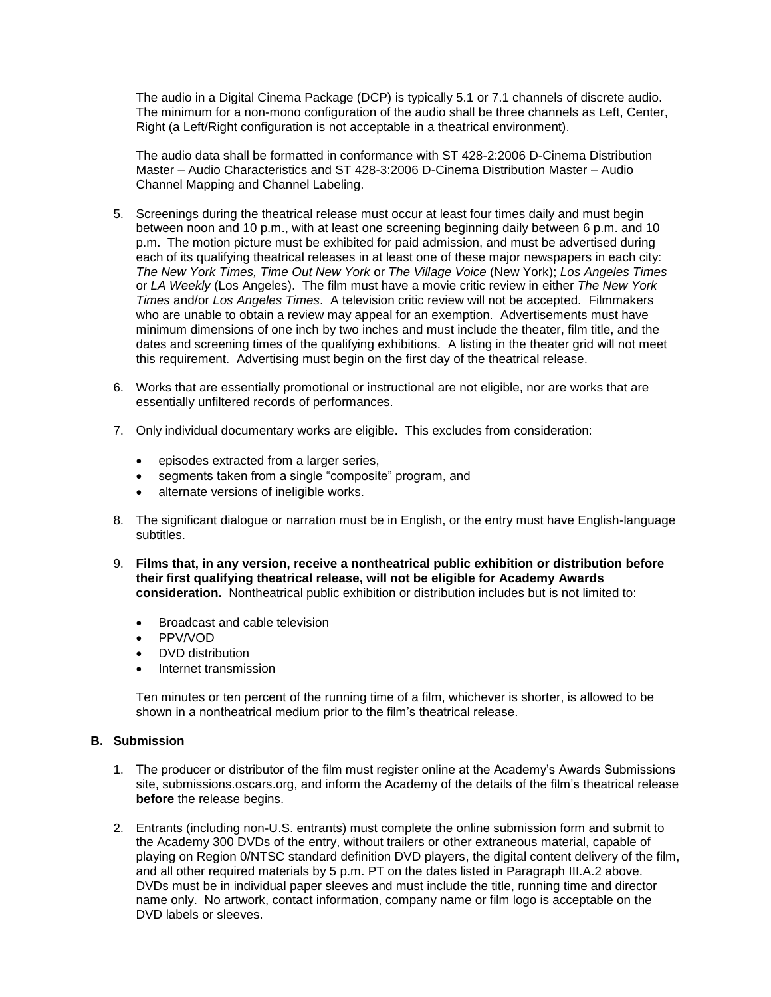The audio in a Digital Cinema Package (DCP) is typically 5.1 or 7.1 channels of discrete audio. The minimum for a non-mono configuration of the audio shall be three channels as Left, Center, Right (a Left/Right configuration is not acceptable in a theatrical environment).

The audio data shall be formatted in conformance with ST 428-2:2006 D-Cinema Distribution Master – Audio Characteristics and ST 428-3:2006 D-Cinema Distribution Master – Audio Channel Mapping and Channel Labeling.

- 5. Screenings during the theatrical release must occur at least four times daily and must begin between noon and 10 p.m., with at least one screening beginning daily between 6 p.m. and 10 p.m. The motion picture must be exhibited for paid admission, and must be advertised during each of its qualifying theatrical releases in at least one of these major newspapers in each city: *The New York Times, Time Out New York* or *The Village Voice* (New York); *Los Angeles Times*  or *LA Weekly* (Los Angeles). The film must have a movie critic review in either *The New York Times* and/or *Los Angeles Times*. A television critic review will not be accepted. Filmmakers who are unable to obtain a review may appeal for an exemption. Advertisements must have minimum dimensions of one inch by two inches and must include the theater, film title, and the dates and screening times of the qualifying exhibitions. A listing in the theater grid will not meet this requirement. Advertising must begin on the first day of the theatrical release.
- 6. Works that are essentially promotional or instructional are not eligible, nor are works that are essentially unfiltered records of performances.
- 7. Only individual documentary works are eligible. This excludes from consideration:
	- episodes extracted from a larger series,
	- segments taken from a single "composite" program, and
	- alternate versions of ineligible works.
- 8. The significant dialogue or narration must be in English, or the entry must have English-language subtitles.
- 9. **Films that, in any version, receive a nontheatrical public exhibition or distribution before their first qualifying theatrical release, will not be eligible for Academy Awards consideration.** Nontheatrical public exhibition or distribution includes but is not limited to:
	- Broadcast and cable television
	- PPV/VOD
	- DVD distribution
	- Internet transmission

Ten minutes or ten percent of the running time of a film, whichever is shorter, is allowed to be shown in a nontheatrical medium prior to the film's theatrical release.

#### **B. Submission**

- 1. The producer or distributor of the film must register online at the Academy's Awards Submissions site, submissions.oscars.org, and inform the Academy of the details of the film's theatrical release **before** the release begins.
- 2. Entrants (including non-U.S. entrants) must complete the online submission form and submit to the Academy 300 DVDs of the entry, without trailers or other extraneous material, capable of playing on Region 0/NTSC standard definition DVD players, the digital content delivery of the film, and all other required materials by 5 p.m. PT on the dates listed in Paragraph III.A.2 above. DVDs must be in individual paper sleeves and must include the title, running time and director name only. No artwork, contact information, company name or film logo is acceptable on the DVD labels or sleeves.